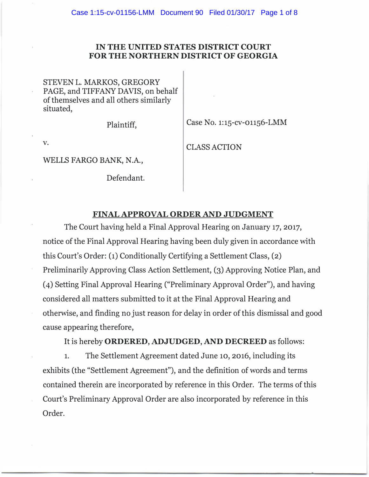## IN THE UNITED STATES DISTRICT COURT FOR THE NORTHERN DISTRICT OF GEORGIA

STEVEN L. MARKOS, GREGORY PAGE, and TIFFANY DAVIS, on behalf of themselves and all others similarly situated,

Plaintiff, Case No. 1:15-cv-01156-LMM

WELLS FARGO BANK, N.A.,

Defendant.

v. CLASS ACTION

## FINAL APPROVAL ORDER AND JUDGMENT

The Court having held a Final Approval Hearing on January 17, 2017, notice of the Final Approval Hearing having been duly given in accordance with this Court's Order: (1) Conditionally Certifying a Settlement Class, (2) Preliminarily Approving Class Action Settlement, (3) Approving Notice Plan, and (4) Setting Final Approval Hearing ("Preliminary Approval Order"), and having considered all matters submitted to it at the Final Approval Hearing and otherwise, and finding no just reason for delay in order of this dismissal and good cause appearing therefore,

It is hereby ORDERED, ADJUDGED, AND DECREED as follows:

1. The Settlement Agreement dated June 10, 2016, including its exhibits (the "Settlement Agreement"), and the definition of words and terms contained therein are incorporated by reference in this Order. The terms of this Court's Preliminary Approval Order are also incorporated by reference in this Order.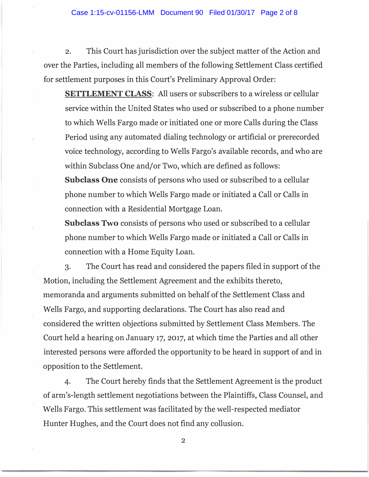2. This Court has jurisdiction over the subject matter of the Action and over the Parties, including all members of the following Settlement Class certified for settlement purposes in this Court's Preliminary Approval Order:

SETTLEMENT CLASS: All users or subscribers to a wireless or cellular service within the United States who used or subscribed to a phone number to which Wells Fargo made or initiated one or more Calls during the Class Period using any automated dialing technology or artificial or prerecorded voice technology, according to Wells Fargo's available records, and who are within Subclass One and/or Two, which are defined as follows:

Subclass One consists of persons who used or subscribed to a cellular phone number to which Wells Fargo made or initiated a Call or Calls in connection with a Residential Mortgage Loan.

Subclass Two consists of persons who used or subscribed to a cellular phone number to which Wells Fargo made or initiated a Call or Calls in connection with a Home Equity Loan.

3. The Court has read and considered the papers filed in support of the Motion, including the Settlement Agreement and the exhibits thereto, memoranda and arguments submitted on behalf of the Settlement Class and Wells Fargo, and supporting declarations. The Court has also read and considered the written objections submitted by Settlement Class Members. The Court held a hearing on January 17, 2017, at which time the Parties and all other interested persons were afforded the opportunity to be heard in support of and in opposition to the Settlement.

4. The Court hereby finds that the Settlement Agreement is the product of arm's-length settlement negotiations between the Plaintiffs, Class Counsel, and Wells Fargo. This settlement was facilitated by the well-respected mediator Hunter Hughes, and the Court does not find any collusion.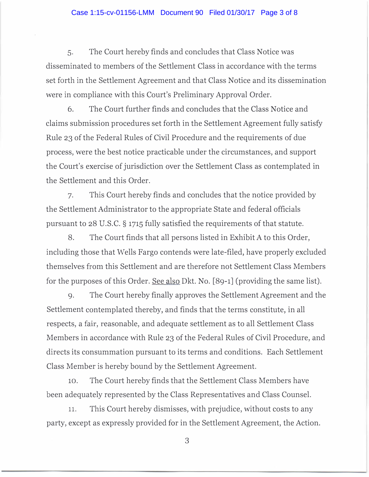## Case 1:15-cv-01156-LMM Document 90 Filed 01/30/17 Page 3 of 8

5. The Court hereby finds and concludes that Class Notice was disseminated to members of the Settlement Class in accordance with the terms set forth in the Settlement Agreement and that Class Notice and its dissemination were in compliance with this Court's Preliminary Approval Order.

6. The Court further finds and concludes that the Class Notice and claims submission procedures set forth in the Settlement Agreement fully satisfy Rule 23 of the Federal Rules of Civil Procedure and the requirements of due process, were the best notice practicable under the circumstances, and support the Court's exercise of jurisdiction over the Settlement Class as contemplated in the Settlement and this Order.

7. This Court hereby finds and concludes that the notice provided by the Settlement Administrator to the appropriate State and federal officials pursuant to 28 U.S.C. § 1715 fully satisfied the requirements of that statute.

8. The Court finds that all persons listed in Exhibit A to this Order, including those that Wells Fargo contends were late-filed, have properly excluded themselves from this Settlement and are therefore not Settlement Class Members for the purposes of this Order. See also Dkt. No. [89-1] (providing the same list).

9. The Court hereby finally approves the Settlement Agreement and the Settlement contemplated thereby, and finds that the terms constitute, in all respects, a fair, reasonable, and adequate settlement as to all Settlement Class Members in accordance with Rule 23 of the Federal Rules of Civil Procedure, and directs its consummation pursuant to its terms and conditions. Each Settlement Class Member is hereby bound by the Settlement Agreement.

10. The Court hereby finds that the Settlement Class Members have been adequately represented by the Class Representatives and Class Counsel.

11. This Court hereby dismisses, with prejudice, without costs to any party, except as expressly provided for in the Settlement Agreement, the Action.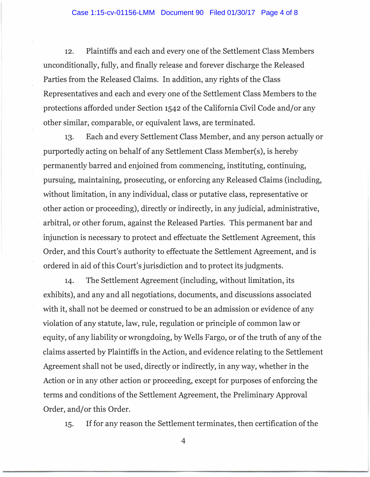12. Plaintiffs and each and every one of the Settlement Class Members unconditionally, fully, and finally release and forever discharge the Released Parties from the Released Claims. In addition, any rights of the Class Representatives and each and every one of the Settlement Class Members to the protections afforded under Section 1542 of the California Civil Code and/or any other similar, comparable, or equivalent laws, are terminated.

13. Each and every Settlement Class Member, and any person actually or purportedly acting on behalf of any Settlement Class Member(s), is hereby permanently barred and enjoined from commencing, instituting, continuing, pursuing, maintaining, prosecuting, or enforcing any Released Claims (including, without limitation, in any individual, class or putative class, representative or other action or proceeding), directly or indirectly, in any judicial, administrative, arbitral, or other forum, against the Released Parties. This permanent bar and injunction is necessary to protect and effectuate the Settlement Agreement, this Order, and this Court's authority to effectuate the Settlement Agreement, and is ordered in aid of this Court's jurisdiction and to protect its judgments.

14. The Settlement Agreement (including, without limitation, its exhibits), and any and all negotiations, documents, and discussions associated with it, shall not be deemed or construed to be an admission or evidence of any violation of any statute, law, rule, regulation or principle of common law or equity, of any liability or wrongdoing, by Wells Fargo, or of the truth of any of the claims asserted by Plaintiffs in the Action, and evidence relating to the Settlement Agreement shall not be used, directly or indirectly, in any way, whether in the Action or in any other action or proceeding, except for purposes of enforcing the terms and conditions of the Settlement Agreement, the Preliminary Approval Order, and/or this Order.

15. If for any reason the Settlement terminates, then certification of the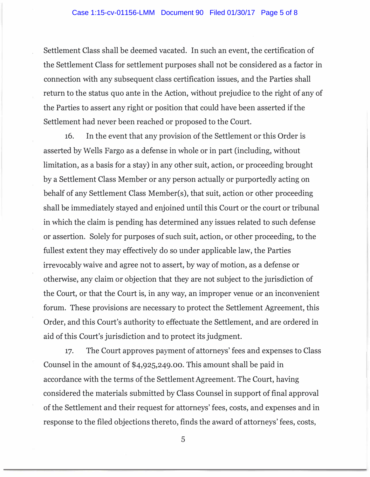Settlement Class shall be deemed vacated. In such an event, the certification of the Settlement Class for settlement purposes shall not be considered as a factor in connection with any subsequent class certification issues, and the Parties shall return to the status quo ante in the Action, without prejudice to the right of any of the Parties to assert any right or position that could have been asserted if the Settlement had never been reached or proposed to the Court.

16. In the event that any provision of the Settlement or this Order is asserted by Wells Fargo as a defense in whole or in part (including, without limitation, as a basis for a stay) in any other suit, action, or proceeding brought by a Settlement Class Member or any person actually or purportedly acting on behalf of any Settlement Class Member(s), that suit, action or other proceeding shall be immediately stayed and enjoined until this Court or the court or tribunal in which the claim is pending has determined any issues related to such defense or assertion. Solely for purposes of such suit, action, or other proceeding, to the fullest extent they may effectively do so under applicable law, the Parties irrevocably waive and agree not to assert, by way of motion, as a defense or otherwise, any claim or objection that they are not subject to the jurisdiction of the Court, or that the Court is, in any way, an improper venue or an inconvenient forum. These provisions are necessary to protect the Settlement Agreement, this Order, and this Court's authority to effectuate the Settlement, and are ordered in aid of this Court's jurisdiction and to protect its judgment.

17. The Court approves payment of attorneys' fees and expenses to Class Counsel in the amount of \$4,925,249.00. This amount shall be paid in accordance with the terms of the Settlement Agreement. The Court, having considered the materials submitted by Class Counsel in support of final approval of the Settlement and their request for attorneys' fees, costs, and expenses and in response to the filed objections thereto, finds the award of attorneys' fees, costs,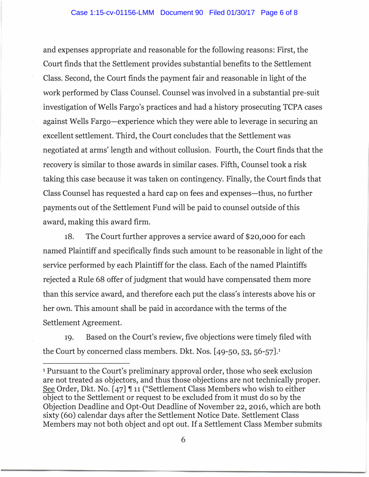and expenses appropriate and reasonable for the following reasons: First, the Court finds that the Settlement provides substantial benefits to the Settlement Class. Second, the Court finds the payment fair and reasonable in light of the work performed by Class Counsel. Counsel was involved in a substantial pre-suit investigation of Wells Fargo's practices and had a history prosecuting TCPA cases against Wells Fargo-experience which they were able to leverage in securing an excellent settlement. Third, the Court concludes that the Settlement was negotiated at arms' length and without collusion. Fourth, the Court finds that the recovery is similar to those awards in similar cases. Fifth, Counsel took a risk taking this case because it was taken on contingency. Finally, the Court finds that Class Counsel has requested a hard cap on fees and expenses-thus, no further payments out of the Settlement Fund will be paid to counsel outside of this award, making this award firm.

18. The Court further approves a service award of \$20,000 for each named Plaintiff and specifically finds such amount to be reasonable in light of the service performed by each Plaintiff for the class. Each of the named Plaintiffs rejected a Rule 68 offer of judgment that would have compensated them more than this service award, and therefore each put the class's interests above his or her own. This amount shall be paid in accordance with the terms of the Settlement Agreement.

19. Based on the Court's review, five objections were timely filed with the Court by concerned class members. Dkt. Nos. [49-50, 53, 56-57].<sup>1</sup>

<sup>1</sup> Pursuant to the Court's preliminary approval order, those who seek exclusion are not treated as objectors, and thus those objections are not technically proper. See Order, Dkt. No. [47]  $\P$  11 ("Settlement Class Members who wish to either object to the Settlement or request to be excluded from it must do so by the Objection Deadline and Opt-Out Deadline of November 22, 2016, which are both sixty (60) calendar days after the Settlement Notice Date. Settlement Class Members may not both object and opt out. If a Settlement Class Member submits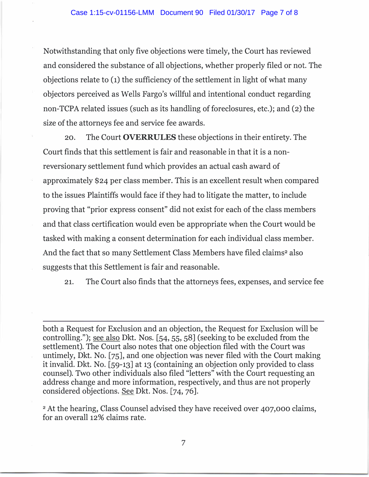Notwithstanding that only five objections were timely, the Court has reviewed and considered the substance of all objections, whether properly filed or not. The objections relate to (1) the sufficiency of the settlement in light of what many objectors perceived as Wells Fargo's willful and intentional conduct regarding non-TCPA related issues (such as its handling of foreclosures, etc.); and (2) the size of the attorneys fee and service fee awards.

20. The Court OVERRULES these objections in their entirety. The Court finds that this settlement is fair and reasonable in that it is a nonreversionary settlement fund which provides an actual cash award of approximately \$24 per class member. This is an excellent result when compared to the issues Plaintiffs would face if they had to litigate the matter, to include proving that "prior express consent" did not exist for each of the class members and that class certification would even be appropriate when the Court would be tasked with making a consent determination for each individual class member. And the fact that so many Settlement Class Members have filed claims<sup>2</sup> also suggests that this Settlement is fair and reasonable.

21. The Court also finds that the attorneys fees, expenses, and service fee

both a Request for Exclusion and an objection, the Request for Exclusion will be controlling."); see also Dkt. Nos. [54, 55, 58] (seeking to be excluded from the settlement). The Court also notes that one objection filed with the Court was untimely, Dkt. No. [75], and one objection was never filed with the Court making it invalid. Dkt. No. [59-13] at 13 (containing an objection only provided to class counsel). Two other individuals also filed "letters" with the Court requesting an address change and more information, respectively, and thus are not properly considered objections. See Dkt. Nos. [74, 76].

<sup>2</sup> At the hearing, Class Counsel advised they have received over 407,000 claims, for an overall 12% claims rate.